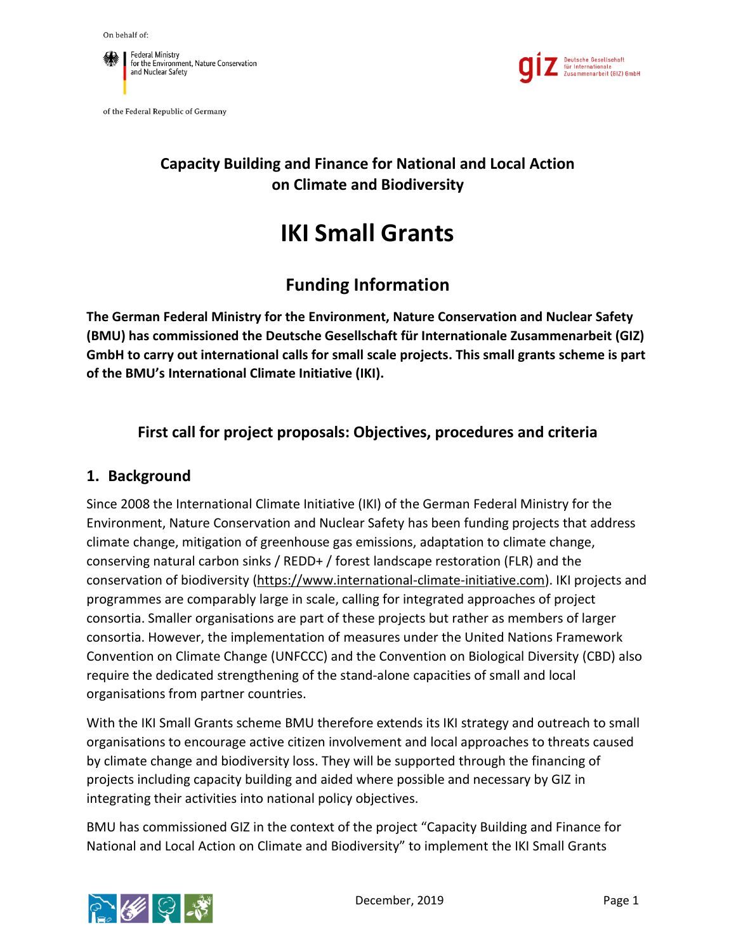

of the Federal Republic of Germany



# **Capacity Building and Finance for National and Local Action on Climate and Biodiversity**

# **IKI Small Grants**

# **Funding Information**

**The German Federal Ministry for the Environment, Nature Conservation and Nuclear Safety (BMU) has commissioned the Deutsche Gesellschaft für Internationale Zusammenarbeit (GIZ) GmbH to carry out international calls for small scale projects. This small grants scheme is part of the BMU's International Climate Initiative (IKI).**

# **First call for project proposals: Objectives, procedures and criteria**

#### **1. Background**

Since 2008 the International Climate Initiative (IKI) of the German Federal Ministry for the Environment, Nature Conservation and Nuclear Safety has been funding projects that address climate change, mitigation of greenhouse gas emissions, adaptation to climate change, conserving natural carbon sinks / REDD+ / forest landscape restoration (FLR) and the conservation of biodiversity [\(https://www.international-climate-initiative.com\)](https://www.international-climate-initiative.com/en/?iki_lang=en). IKI projects and programmes are comparably large in scale, calling for integrated approaches of project consortia. Smaller organisations are part of these projects but rather as members of larger consortia. However, the implementation of measures under the United Nations Framework Convention on Climate Change (UNFCCC) and the Convention on Biological Diversity (CBD) also require the dedicated strengthening of the stand-alone capacities of small and local organisations from partner countries.

With the IKI Small Grants scheme BMU therefore extends its IKI strategy and outreach to small organisations to encourage active citizen involvement and local approaches to threats caused by climate change and biodiversity loss. They will be supported through the financing of projects including capacity building and aided where possible and necessary by GIZ in integrating their activities into national policy objectives.

BMU has commissioned GIZ in the context of the project "Capacity Building and Finance for National and Local Action on Climate and Biodiversity" to implement the IKI Small Grants



December, 2019 **Page 1**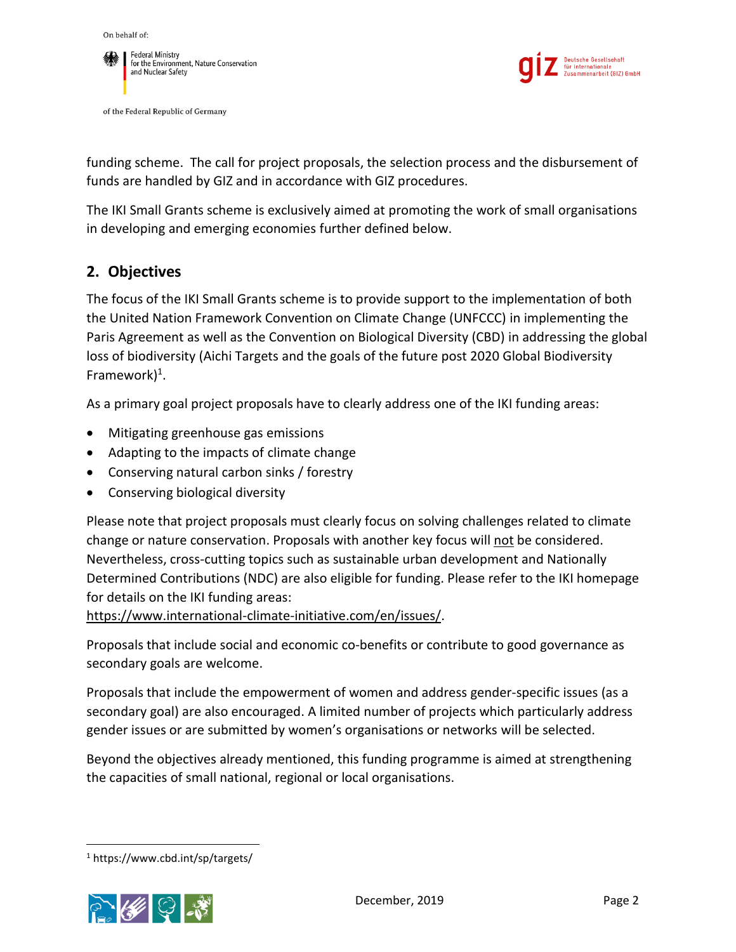



of the Federal Republic of Germany



funding scheme. The call for project proposals, the selection process and the disbursement of funds are handled by GIZ and in accordance with GIZ procedures.

The IKI Small Grants scheme is exclusively aimed at promoting the work of small organisations in developing and emerging economies further defined below.

# **2. Objectives**

The focus of the IKI Small Grants scheme is to provide support to the implementation of both the United Nation Framework Convention on Climate Change (UNFCCC) in implementing the Paris Agreement as well as the Convention on Biological Diversity (CBD) in addressing the global loss of biodiversity (Aichi Targets and the goals of the future post 2020 Global Biodiversity Framework) 1 .

As a primary goal project proposals have to clearly address one of the IKI funding areas:

- Mitigating greenhouse gas emissions
- Adapting to the impacts of climate change
- Conserving natural carbon sinks / forestry
- Conserving biological diversity

Please note that project proposals must clearly focus on solving challenges related to climate change or nature conservation. Proposals with another key focus will not be considered. Nevertheless, cross-cutting topics such as sustainable urban development and Nationally Determined Contributions (NDC) are also eligible for funding. Please refer to the IKI homepage for details on the IKI funding areas:

[https://www.international-climate-initiative.com/en/issues/.](https://www.international-climate-initiative.com/en/issues/)

Proposals that include social and economic co-benefits or contribute to good governance as secondary goals are welcome.

Proposals that include the empowerment of women and address gender-specific issues (as a secondary goal) are also encouraged. A limited number of projects which particularly address gender issues or are submitted by women's organisations or networks will be selected.

Beyond the objectives already mentioned, this funding programme is aimed at strengthening the capacities of small national, regional or local organisations.

<sup>1</sup> <https://www.cbd.int/sp/targets/>



 $\overline{\phantom{a}}$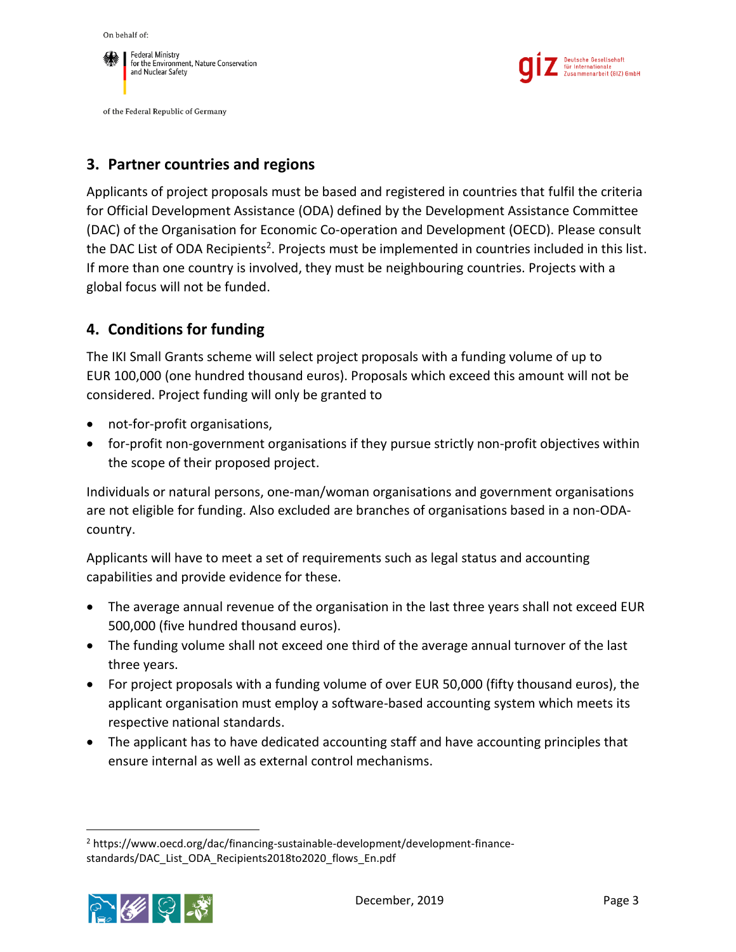On behalf of:



of the Federal Republic of Germany



#### **3. Partner countries and regions**

Applicants of project proposals must be based and registered in countries that fulfil the criteria for Official Development Assistance (ODA) defined by the Development Assistance Committee (DAC) of the Organisation for Economic Co-operation and Development (OECD). Please consult the DAC List of ODA Recipients<sup>2</sup>. Projects must be implemented in countries included in this list. If more than one country is involved, they must be neighbouring countries. Projects with a global focus will not be funded.

#### **4. Conditions for funding**

The IKI Small Grants scheme will select project proposals with a funding volume of up to EUR 100,000 (one hundred thousand euros). Proposals which exceed this amount will not be considered. Project funding will only be granted to

- not-for-profit organisations,
- for-profit non-government organisations if they pursue strictly non-profit objectives within the scope of their proposed project.

Individuals or natural persons, one-man/woman organisations and government organisations are not eligible for funding. Also excluded are branches of organisations based in a non-ODAcountry.

Applicants will have to meet a set of requirements such as legal status and accounting capabilities and provide evidence for these.

- The average annual revenue of the organisation in the last three years shall not exceed EUR 500,000 (five hundred thousand euros).
- The funding volume shall not exceed one third of the average annual turnover of the last three years.
- For project proposals with a funding volume of over EUR 50,000 (fifty thousand euros), the applicant organisation must employ a software-based accounting system which meets its respective national standards.
- The applicant has to have dedicated accounting staff and have accounting principles that ensure internal as well as external control mechanisms.

 $\overline{\phantom{a}}$ <sup>2</sup> [https://www.oecd.org/dac/financing-sustainable-development/development-finance](https://www.oecd.org/dac/financing-sustainable-development/development-finance-standards/DAC_List_ODA_Recipients2018to2020_flows_En.pdf)[standards/DAC\\_List\\_ODA\\_Recipients2018to2020\\_flows\\_En.pdf](https://www.oecd.org/dac/financing-sustainable-development/development-finance-standards/DAC_List_ODA_Recipients2018to2020_flows_En.pdf)

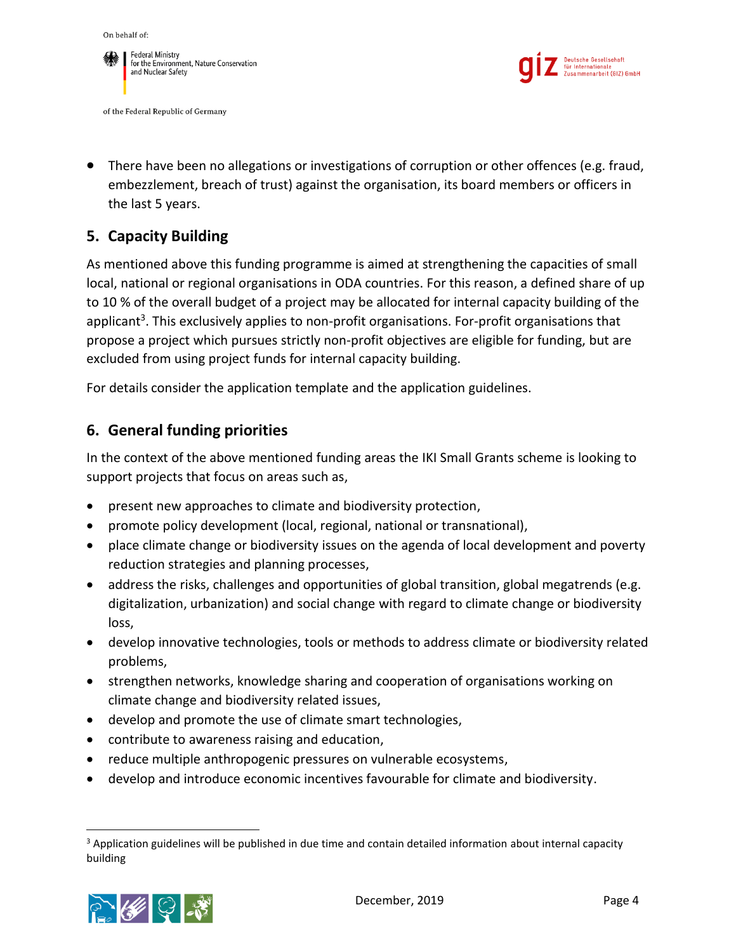





 There have been no allegations or investigations of corruption or other offences (e.g. fraud, embezzlement, breach of trust) against the organisation, its board members or officers in the last 5 years.

# **5. Capacity Building**

As mentioned above this funding programme is aimed at strengthening the capacities of small local, national or regional organisations in ODA countries. For this reason, a defined share of up to 10 % of the overall budget of a project may be allocated for internal capacity building of the applicant<sup>3</sup>. This exclusively applies to non-profit organisations. For-profit organisations that propose a project which pursues strictly non-profit objectives are eligible for funding, but are excluded from using project funds for internal capacity building.

For details consider the application template and the application guidelines.

### **6. General funding priorities**

In the context of the above mentioned funding areas the IKI Small Grants scheme is looking to support projects that focus on areas such as,

- present new approaches to climate and biodiversity protection,
- promote policy development (local, regional, national or transnational),
- place climate change or biodiversity issues on the agenda of local development and poverty reduction strategies and planning processes,
- address the risks, challenges and opportunities of global transition, global megatrends (e.g. digitalization, urbanization) and social change with regard to climate change or biodiversity loss,
- develop innovative technologies, tools or methods to address climate or biodiversity related problems,
- strengthen networks, knowledge sharing and cooperation of organisations working on climate change and biodiversity related issues,
- develop and promote the use of climate smart technologies,
- contribute to awareness raising and education,
- reduce multiple anthropogenic pressures on vulnerable ecosystems,
- develop and introduce economic incentives favourable for climate and biodiversity.

<sup>&</sup>lt;sup>3</sup> Application guidelines will be published in due time and contain detailed information about internal capacity building



 $\overline{\phantom{a}}$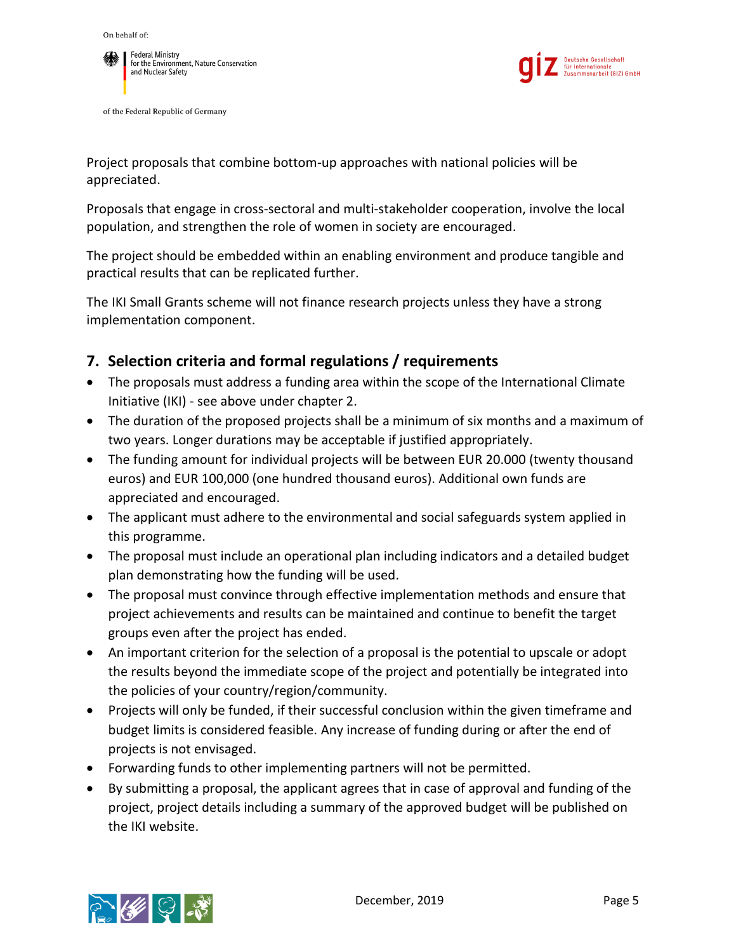



of the Federal Republic of Germany



Project proposals that combine bottom-up approaches with national policies will be appreciated.

Proposals that engage in cross-sectoral and multi-stakeholder cooperation, involve the local population, and strengthen the role of women in society are encouraged.

The project should be embedded within an enabling environment and produce tangible and practical results that can be replicated further.

The IKI Small Grants scheme will not finance research projects unless they have a strong implementation component.

# **7. Selection criteria and formal regulations / requirements**

- The proposals must address a funding area within the scope of the International Climate Initiative (IKI) - see above under chapter 2.
- The duration of the proposed projects shall be a minimum of six months and a maximum of two years. Longer durations may be acceptable if justified appropriately.
- The funding amount for individual projects will be between EUR 20.000 (twenty thousand euros) and EUR 100,000 (one hundred thousand euros). Additional own funds are appreciated and encouraged.
- The applicant must adhere to the environmental and social safeguards system applied in this programme.
- The proposal must include an operational plan including indicators and a detailed budget plan demonstrating how the funding will be used.
- The proposal must convince through effective implementation methods and ensure that project achievements and results can be maintained and continue to benefit the target groups even after the project has ended.
- An important criterion for the selection of a proposal is the potential to upscale or adopt the results beyond the immediate scope of the project and potentially be integrated into the policies of your country/region/community.
- Projects will only be funded, if their successful conclusion within the given timeframe and budget limits is considered feasible. Any increase of funding during or after the end of projects is not envisaged.
- Forwarding funds to other implementing partners will not be permitted.
- By submitting a proposal, the applicant agrees that in case of approval and funding of the project, project details including a summary of the approved budget will be published on the IKI website.